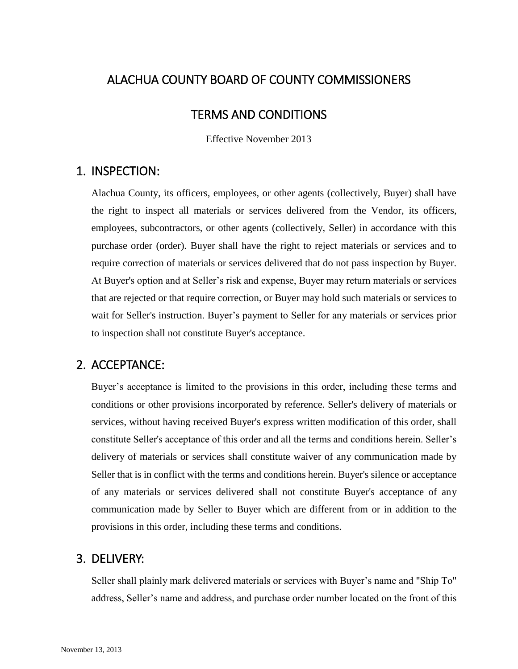# ALACHUA COUNTY BOARD OF COUNTY COMMISSIONERS

#### TERMS AND CONDITIONS

Effective November 2013

## 1. INSPECTION:

Alachua County, its officers, employees, or other agents (collectively, Buyer) shall have the right to inspect all materials or services delivered from the Vendor, its officers, employees, subcontractors, or other agents (collectively, Seller) in accordance with this purchase order (order). Buyer shall have the right to reject materials or services and to require correction of materials or services delivered that do not pass inspection by Buyer. At Buyer's option and at Seller's risk and expense, Buyer may return materials or services that are rejected or that require correction, or Buyer may hold such materials or services to wait for Seller's instruction. Buyer's payment to Seller for any materials or services prior to inspection shall not constitute Buyer's acceptance.

# 2. ACCEPTANCE:

Buyer's acceptance is limited to the provisions in this order, including these terms and conditions or other provisions incorporated by reference. Seller's delivery of materials or services, without having received Buyer's express written modification of this order, shall constitute Seller's acceptance of this order and all the terms and conditions herein. Seller's delivery of materials or services shall constitute waiver of any communication made by Seller that is in conflict with the terms and conditions herein. Buyer's silence or acceptance of any materials or services delivered shall not constitute Buyer's acceptance of any communication made by Seller to Buyer which are different from or in addition to the provisions in this order, including these terms and conditions.

### 3. DELIVERY:

Seller shall plainly mark delivered materials or services with Buyer's name and "Ship To" address, Seller's name and address, and purchase order number located on the front of this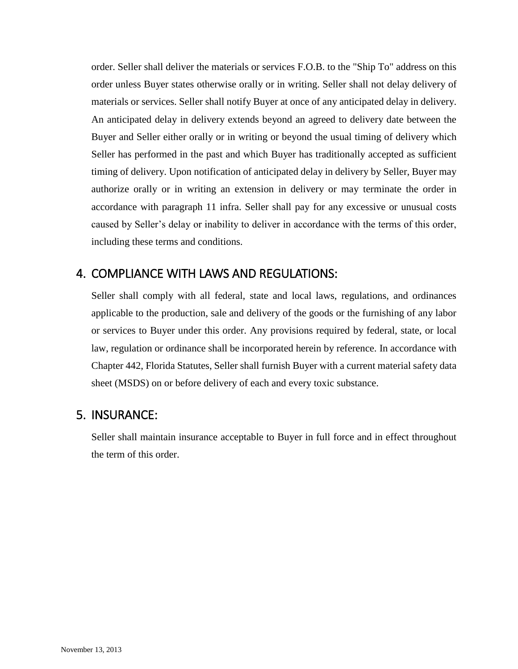order. Seller shall deliver the materials or services F.O.B. to the "Ship To" address on this order unless Buyer states otherwise orally or in writing. Seller shall not delay delivery of materials or services. Seller shall notify Buyer at once of any anticipated delay in delivery. An anticipated delay in delivery extends beyond an agreed to delivery date between the Buyer and Seller either orally or in writing or beyond the usual timing of delivery which Seller has performed in the past and which Buyer has traditionally accepted as sufficient timing of delivery. Upon notification of anticipated delay in delivery by Seller, Buyer may authorize orally or in writing an extension in delivery or may terminate the order in accordance with paragraph 11 infra. Seller shall pay for any excessive or unusual costs caused by Seller's delay or inability to deliver in accordance with the terms of this order, including these terms and conditions.

### 4. COMPLIANCE WITH LAWS AND REGULATIONS:

Seller shall comply with all federal, state and local laws, regulations, and ordinances applicable to the production, sale and delivery of the goods or the furnishing of any labor or services to Buyer under this order. Any provisions required by federal, state, or local law, regulation or ordinance shall be incorporated herein by reference. In accordance with Chapter 442, Florida Statutes, Seller shall furnish Buyer with a current material safety data sheet (MSDS) on or before delivery of each and every toxic substance.

### 5. INSURANCE:

Seller shall maintain insurance acceptable to Buyer in full force and in effect throughout the term of this order.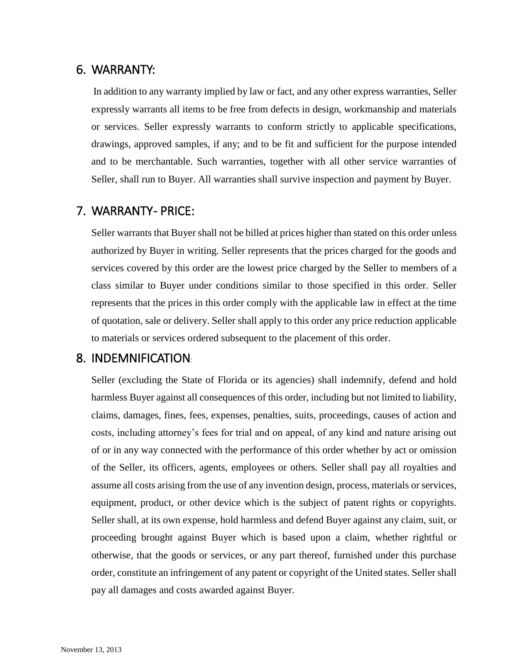#### 6. WARRANTY:

In addition to any warranty implied by law or fact, and any other express warranties, Seller expressly warrants all items to be free from defects in design, workmanship and materials or services. Seller expressly warrants to conform strictly to applicable specifications, drawings, approved samples, if any; and to be fit and sufficient for the purpose intended and to be merchantable. Such warranties, together with all other service warranties of Seller, shall run to Buyer. All warranties shall survive inspection and payment by Buyer.

#### 7. WARRANTY- PRICE:

Seller warrants that Buyer shall not be billed at prices higher than stated on this order unless authorized by Buyer in writing. Seller represents that the prices charged for the goods and services covered by this order are the lowest price charged by the Seller to members of a class similar to Buyer under conditions similar to those specified in this order. Seller represents that the prices in this order comply with the applicable law in effect at the time of quotation, sale or delivery. Seller shall apply to this order any price reduction applicable to materials or services ordered subsequent to the placement of this order.

#### 8. INDEMNIFICATION:

Seller (excluding the State of Florida or its agencies) shall indemnify, defend and hold harmless Buyer against all consequences of this order, including but not limited to liability, claims, damages, fines, fees, expenses, penalties, suits, proceedings, causes of action and costs, including attorney's fees for trial and on appeal, of any kind and nature arising out of or in any way connected with the performance of this order whether by act or omission of the Seller, its officers, agents, employees or others. Seller shall pay all royalties and assume all costs arising from the use of any invention design, process, materials or services, equipment, product, or other device which is the subject of patent rights or copyrights. Seller shall, at its own expense, hold harmless and defend Buyer against any claim, suit, or proceeding brought against Buyer which is based upon a claim, whether rightful or otherwise, that the goods or services, or any part thereof, furnished under this purchase order, constitute an infringement of any patent or copyright of the United states. Seller shall pay all damages and costs awarded against Buyer.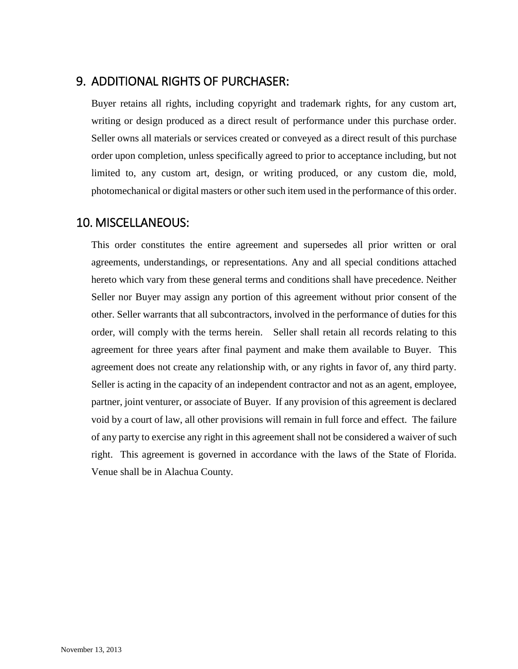### 9. ADDITIONAL RIGHTS OF PURCHASER:

Buyer retains all rights, including copyright and trademark rights, for any custom art, writing or design produced as a direct result of performance under this purchase order. Seller owns all materials or services created or conveyed as a direct result of this purchase order upon completion, unless specifically agreed to prior to acceptance including, but not limited to, any custom art, design, or writing produced, or any custom die, mold, photomechanical or digital masters or other such item used in the performance of this order.

#### 10. MISCELLANEOUS:

This order constitutes the entire agreement and supersedes all prior written or oral agreements, understandings, or representations. Any and all special conditions attached hereto which vary from these general terms and conditions shall have precedence. Neither Seller nor Buyer may assign any portion of this agreement without prior consent of the other. Seller warrants that all subcontractors, involved in the performance of duties for this order, will comply with the terms herein. Seller shall retain all records relating to this agreement for three years after final payment and make them available to Buyer. This agreement does not create any relationship with, or any rights in favor of, any third party. Seller is acting in the capacity of an independent contractor and not as an agent, employee, partner, joint venturer, or associate of Buyer. If any provision of this agreement is declared void by a court of law, all other provisions will remain in full force and effect. The failure of any party to exercise any right in this agreement shall not be considered a waiver of such right. This agreement is governed in accordance with the laws of the State of Florida. Venue shall be in Alachua County.